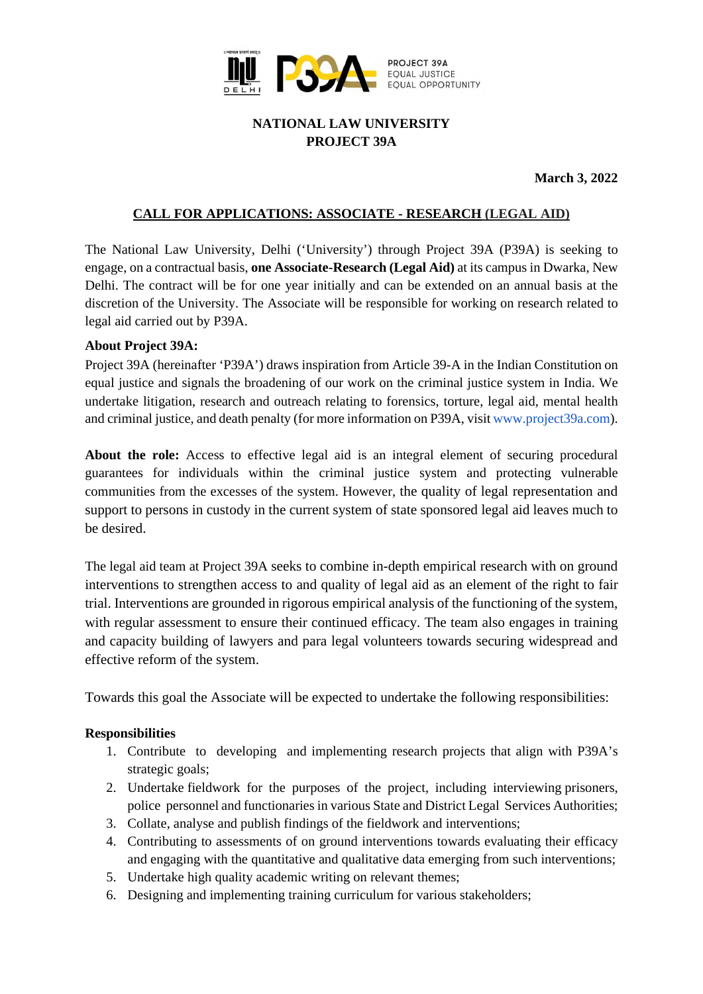

# **NATIONAL LAW UNIVERSITY PROJECT 39A**

 **March 3, 2022** 

## **CALL FOR APPLICATIONS: ASSOCIATE - RESEARCH (LEGAL AID)**

The National Law University, Delhi ('University') through Project 39A (P39A) is seeking to engage, on a contractual basis, **one Associate-Research (Legal Aid)** at its campus in Dwarka, New Delhi. The contract will be for one year initially and can be extended on an annual basis at the discretion of the University. The Associate will be responsible for working on research related to legal aid carried out by P39A.

#### **About Project 39A:**

Project 39A (hereinafter 'P39A') draws inspiration from Article 39-A in the Indian Constitution on equal justice and signals the broadening of our work on the criminal justice system in India. We undertake litigation, research and outreach relating to forensics, torture, legal aid, mental health [and criminal justice, and death penalty \(for more information on P39A, visit www.project39a.com\)](http://www.project39a.com/).

**About the role:** Access to effective legal aid is an integral element of securing procedural guarantees for individuals within the criminal justice system and protecting vulnerable communities from the excesses of the system. However, the quality of legal representation and support to persons in custody in the current system of state sponsored legal aid leaves much to be desired.

The legal aid team at Project 39A seeks to combine in-depth empirical research with on ground interventions to strengthen access to and quality of legal aid as an element of the right to fair trial. Interventions are grounded in rigorous empirical analysis of the functioning of the system, with regular assessment to ensure their continued efficacy. The team also engages in training and capacity building of lawyers and para legal volunteers towards securing widespread and effective reform of the system.

Towards this goal the Associate will be expected to undertake the following responsibilities:

#### **Responsibilities**

- 1. Contribute to developing and implementing research projects that align with P39A's strategic goals;
- 2. Undertake fieldwork for the purposes of the project, including interviewing prisoners, police personnel and functionaries in various State and District Legal Services Authorities;
- 3. Collate, analyse and publish findings of the fieldwork and interventions;
- 4. Contributing to assessments of on ground interventions towards evaluating their efficacy and engaging with the quantitative and qualitative data emerging from such interventions;
- 5. Undertake high quality academic writing on relevant themes;
- 6. Designing and implementing training curriculum for various stakeholders;